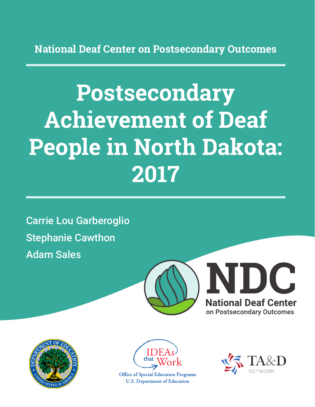**National Deaf Center on Postsecondary Outcomes**

# **Postsecondary Achievement of Deaf People in North Dakota: 2017**

Carrie Lou Garberoglio Stephanie Cawthon Adam Sales







**Office of Special Education Programs U.S. Department of Education** 

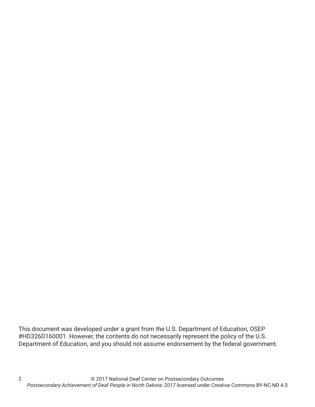This document was developed under a grant from the U.S. Department of Education, OSEP #HD326D160001. However, the contents do not necessarily represent the policy of the U.S. Department of Education, and you should not assume endorsement by the federal government.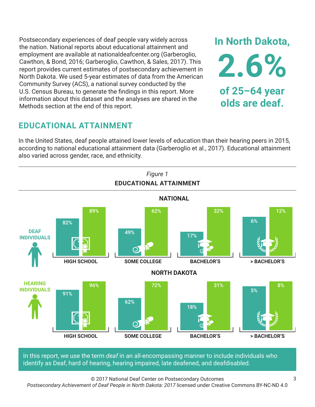Postsecondary experiences of deaf people vary widely across the nation. National reports about educational attainment and employment are available at nationaldeafcenter.org (Garberoglio, Cawthon, & Bond, 2016; Garberoglio, Cawthon, & Sales, 2017). This report provides current estimates of postsecondary achievement in North Dakota. We used 5-year estimates of data from the American Community Survey (ACS), a national survey conducted by the U.S. Census Bureau, to generate the findings in this report. More information about this dataset and the analyses are shared in the Methods section at the end of this report.

# **EDUCATIONAL ATTAINMENT**

In the United States, deaf people attained lower levels of education than their hearing peers in 2015, according to national educational attainment data (Garberoglio et al., 2017). Educational attainment also varied across gender, race, and ethnicity.



In this report, we use the term *deaf* in an all-encompassing manner to include individuals who identify as Deaf, hard of hearing, hearing impaired, late deafened, and deafdisabled.

© 2017 National Deaf Center on Postsecondary Outcomes

*Postsecondary Achievement of Deaf People in North Dakota: 2017* licensed under Creative Commons BY-NC-ND 4.0

**In North Dakota,**

**2.6%**

**of 25–64 year**

**olds are deaf.**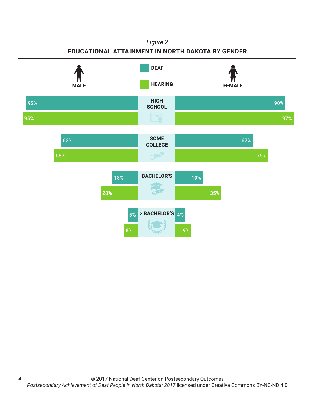#### *Figure 2*

### **EDUCATIONAL ATTAINMENT IN NORTH DAKOTA BY GENDER**



4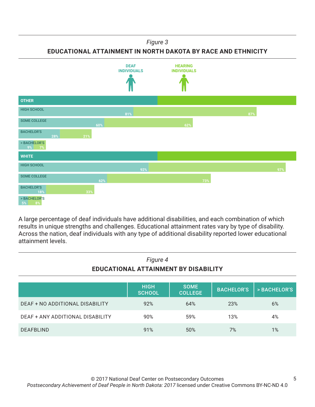*Figure 3*

**EDUCATIONAL ATTAINMENT IN NORTH DAKOTA BY RACE AND ETHNICITY**



A large percentage of deaf individuals have additional disabilities, and each combination of which results in unique strengths and challenges. Educational attainment rates vary by type of disability. Across the nation, deaf individuals with any type of additional disability reported lower educational attainment levels.

| Figure 4<br>EDUCATIONAL ATTAINMENT BY DISABILITY |                              |                               |                   |              |
|--------------------------------------------------|------------------------------|-------------------------------|-------------------|--------------|
|                                                  | <b>HIGH</b><br><b>SCHOOL</b> | <b>SOME</b><br><b>COLLEGE</b> | <b>BACHELOR'S</b> | > BACHELOR'S |
| DEAF + NO ADDITIONAL DISABILITY                  | 92%                          | 64%                           | 23%               | 6%           |
| DEAF + ANY ADDITIONAL DISABILITY                 | 90%                          | 59%                           | 13%               | 4%           |
| <b>DEAFBLIND</b>                                 | 91%                          | 50%                           | 7%                | 1%           |

5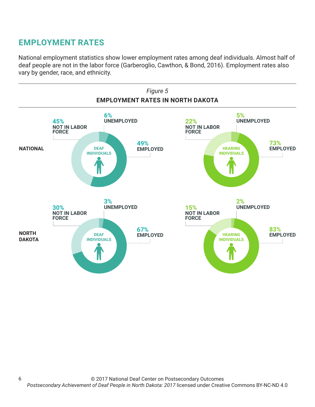# **EMPLOYMENT RATES**

6

National employment statistics show lower employment rates among deaf individuals. Almost half of deaf people are not in the labor force (Garberoglio, Cawthon, & Bond, 2016). Employment rates also vary by gender, race, and ethnicity.

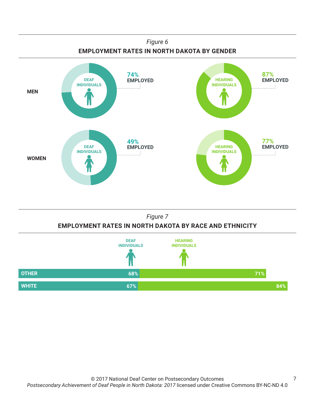

## *Figure 7* **EMPLOYMENT RATES IN NORTH DAKOTA BY RACE AND ETHNICITY**



7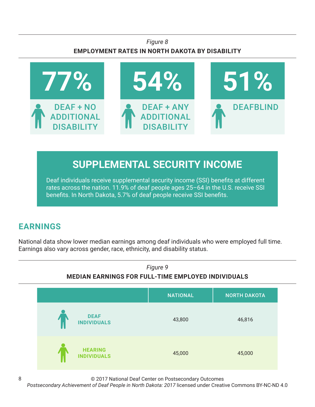## *Figure 8* **EMPLOYMENT RATES IN NORTH DAKOTA BY DISABILITY**



# **SUPPLEMENTAL SECURITY INCOME**

Deaf individuals receive supplemental security income (SSI) benefits at different rates across the nation. 11.9% of deaf people ages 25–64 in the U.S. receive SSI benefits. In North Dakota, 5.7% of deaf people receive SSI benefits.

# **EARNINGS**

National data show lower median earnings among deaf individuals who were employed full time. Earnings also vary across gender, race, ethnicity, and disability status.



© 2017 National Deaf Center on Postsecondary Outcomes

*Postsecondary Achievement of Deaf People in North Dakota: 2017* licensed under Creative Commons BY-NC-ND 4.0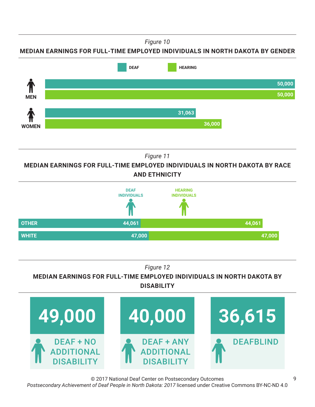*Figure 10*

**MEDIAN EARNINGS FOR FULL-TIME EMPLOYED INDIVIDUALS IN NORTH DAKOTA BY GENDER**



*Figure 11*

**MEDIAN EARNINGS FOR FULL-TIME EMPLOYED INDIVIDUALS IN NORTH DAKOTA BY RACE AND ETHNICITY**



*Figure 12*

**MEDIAN EARNINGS FOR FULL-TIME EMPLOYED INDIVIDUALS IN NORTH DAKOTA BY DISABILITY**



© 2017 National Deaf Center on Postsecondary Outcomes *Postsecondary Achievement of Deaf People in North Dakota: 2017* licensed under Creative Commons BY-NC-ND 4.0